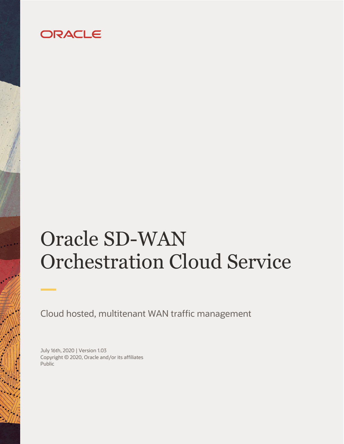## ORACLE

# Oracle SD-WAN Orchestration Cloud Service

Cloud hosted, multitenant WAN traffic management

July 16th, 2020 | Version 1.03 Copyright © 2020, Oracle and/or its affiliates Public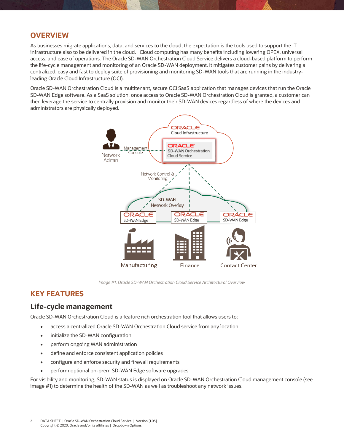#### **OVERVIEW**

As businesses migrate applications, data, and services to the cloud, the expectation is the tools used to support the IT infrastructure also to be delivered in the cloud. Cloud computing has many benefits including lowering OPEX, universal access, and ease of operations. The Oracle SD-WAN Orchestration Cloud Service delivers a cloud-based platform to perform the life-cycle management and monitoring of an Oracle SD-WAN deployment. It mitigates customer pains by delivering a centralized, easy and fast to deploy suite of provisioning and monitoring SD-WAN tools that are running in the industryleading Oracle Cloud Infrastructure (OCI).

Oracle SD-WAN Orchestration Cloud is a multitenant, secure OCI SaaS application that manages devices that run the Oracle SD-WAN Edge software. As a SaaS solution, once access to Oracle SD-WAN Orchestration Cloud is granted, a customer can then leverage the service to centrally provision and monitor their SD-WAN devices regardless of where the devices and administrators are physically deployed.



*Image #1. Oracle SD-WAN Orchestration Cloud Service Architectural Overview*

#### **KEY FEATURES**

#### **Life-cycle management**

Oracle SD-WAN Orchestration Cloud is a feature rich orchestration tool that allows users to:

- access a centralized Oracle SD-WAN Orchestration Cloud service from any location
- initialize the SD-WAN configuration
- perform ongoing WAN administration
- define and enforce consistent application policies
- configure and enforce security and firewall requirements
- perform optional on-prem SD-WAN Edge software upgrades

For visibility and monitoring, SD-WAN status is displayed on Oracle SD-WAN Orchestration Cloud management console (see image #1) to determine the health of the SD-WAN as well as troubleshoot any network issues.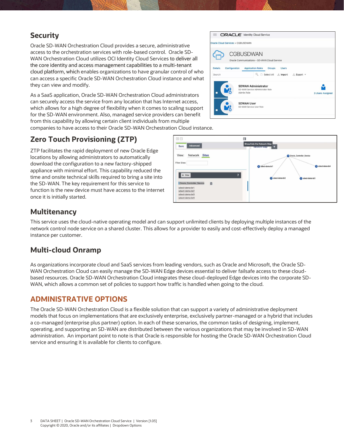#### **Security**

Oracle SD-WAN Orchestration Cloud provides a secure, administrative access to the orchestration services with role-based control. Oracle SD-WAN Orchestration Cloud utilizes OCI Identity Cloud Services to deliver all the core identity and access management capabilities to a multi-tenant cloud platform, which enables organizations to have granular control of who can access a specific Oracle SD-WAN Orchestration Cloud instance and what they can view and modify.

As a SaaS application, Oracle SD-WAN Orchestration Cloud administration can securely access the service from any location that has Internet which allows for a high degree of flexibility when it comes to scaling for the SD-WAN environment. Also, managed service providers can from this capability by allowing certain client individuals from multi companies to have access to their Oracle SD-WAN Orchestration Cl

**Zero Touch Provisioning (ZTP)**

ZTP facilitates the rapid deployment of new Oracle Edge locations by allowing administrators to automatically download the configuration to a new factory-shipped appliance with minimal effort. This capability reduced the time and onsite technical skills required to bring a site into the SD-WAN. The key requirement for this service to function is the new device must have access to the internet once it is initially started.

| inistrators                                 | Admin Role              | <b>SDWAN Administrator</b><br>SD-WAN Service Administrator Role | <b>3 Users Assigned</b>   |
|---------------------------------------------|-------------------------|-----------------------------------------------------------------|---------------------------|
| et access,<br>ling support                  | <b>SDWAN User</b>       | SD-WAN Service User Role                                        |                           |
| can benefit<br>ultiple<br>Cloud instance.   |                         |                                                                 |                           |
| $\boxminus$ $\boxminus$                     | 同                       | Show/hide the Network Map                                       |                           |
| Advanced<br>Basic<br>View:<br>Network Sites |                         | <b>INGLWOIK MISSI</b>                                           | Oracle_Controller_Service |
| liter Sites:                                |                         | a sdwct-demo-br1                                                | a sdwct-demo-br4          |
| $+$ Site<br>Oracle Controller Service<br>自  | $\overline{\mathbf{r}}$ | sdwct-demo-br2                                                  | a sdwct-demo-br3          |

Groups  $Q_{k}$   $\Box$  Select All  $\Delta$  Import

**上 Export** ▼

**ORACLE** Identity Cloud Service

**CGBUSDWAN** Oracle Communications - SD-WAN Cloud Servic **Application Roles** 

d Services > CGBUSDWAN

#### **Multitenancy**

This service uses the cloud-native operating model and can support unlimited clients by deploying multiple instances of the network control node service on a shared cluster. This allows for a provider to easily and cost-effectively deploy a managed instance per customer.

### **Multi-cloud Onramp**

As organizations incorporate cloud and SaaS services from leading vendors, such as Oracle and Microsoft, the Oracle SD-WAN Orchestration Cloud can easily manage the SD-WAN Edge devices essential to deliver failsafe access to these cloudbased resources. Oracle SD-WAN Orchestration Cloud integrates these cloud-deployed Edge devices into the corporate SD-WAN, which allows a common set of policies to support how traffic is handled when going to the cloud.

#### **ADMINISTRATIVE OPTIONS**

The Oracle SD-WAN Orchestration Cloud is a flexible solution that can support a variety of administrative deployment models that focus on implementations that are exclusively enterprise, exclusively partner-managed or a hybrid that includes a co-managed (enterprise plus partner) option. In each of these scenarios, the common tasks of designing, implement, operating, and supporting an SD-WAN are distributed between the various organizations that may be involved in SD-WAN administration. An important point to note is that Oracle is responsible for hosting the Oracle SD-WAN Orchestration Cloud service and ensuring it is available for clients to configure.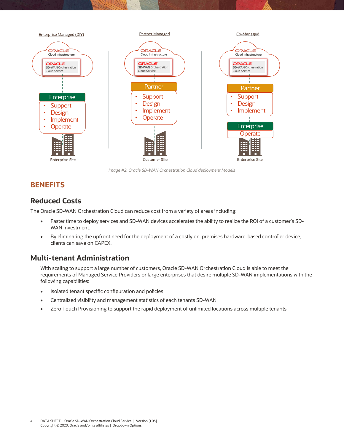

*Image #2. Oracle SD-WAN Orchestration Cloud deployment Models*

#### **BENEFITS**

#### **Reduced Costs**

The Oracle SD-WAN Orchestration Cloud can reduce cost from a variety of areas including:

- Faster time to deploy services and SD-WAN devices accelerates the ability to realize the ROI of a customer's SD-WAN investment.
- By eliminating the upfront need for the deployment of a costly on-premises hardware-based controller device, clients can save on CAPEX.

#### **Multi-tenant Administration**

With scaling to support a large number of customers, Oracle SD-WAN Orchestration Cloud is able to meet the requirements of Managed Service Providers or large enterprises that desire multiple SD-WAN implementations with the following capabilities:

- Isolated tenant specific configuration and policies
- Centralized visibility and management statistics of each tenants SD-WAN
- Zero Touch Provisioning to support the rapid deployment of unlimited locations across multiple tenants